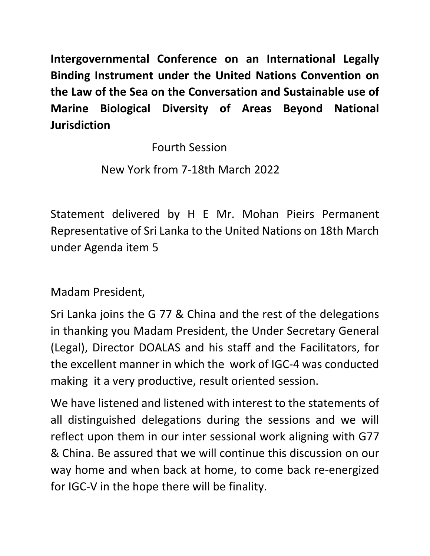**Intergovernmental Conference on an International Legally Binding Instrument under the United Nations Convention on the Law of the Sea on the Conversation and Sustainable use of Marine Biological Diversity of Areas Beyond National Jurisdiction**

Fourth Session

New York from 7-18th March 2022

Statement delivered by H E Mr. Mohan Pieirs Permanent Representative of Sri Lanka to the United Nations on 18th March under Agenda item 5

Madam President,

Sri Lanka joins the G 77 & China and the rest of the delegations in thanking you Madam President, the Under Secretary General (Legal), Director DOALAS and his staff and the Facilitators, for the excellent manner in which the work of IGC-4 was conducted making it a very productive, result oriented session.

We have listened and listened with interest to the statements of all distinguished delegations during the sessions and we will reflect upon them in our inter sessional work aligning with G77 & China. Be assured that we will continue this discussion on our way home and when back at home, to come back re-energized for IGC-V in the hope there will be finality.